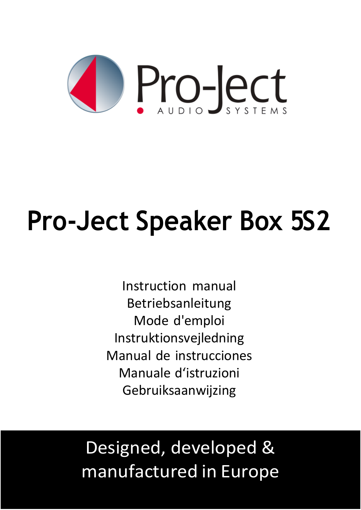

# **Pro-Ject Speaker Box 5S2**

Instruction manual Betriebsanleitung Mode d'emploi Instruktionsvejledning Manual de instrucciones Manuale d'istruzioni Gebruiksaanwijzing

# Designed, developed & manufactured in Europe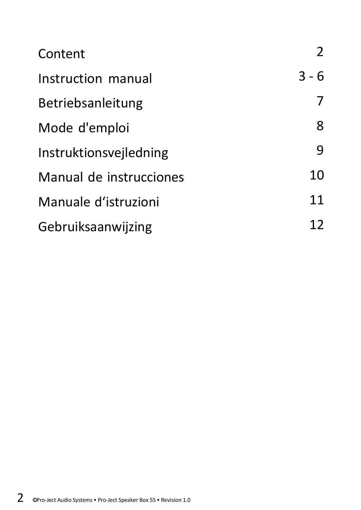| Content                 | 2       |
|-------------------------|---------|
| Instruction manual      | $3 - 6$ |
| Betriebsanleitung       | 7       |
| Mode d'emploi           | 8       |
| Instruktionsvejledning  | 9       |
| Manual de instrucciones | 10      |
| Manuale d'istruzioni    | 11      |
| Gebruiksaanwijzing      | 12      |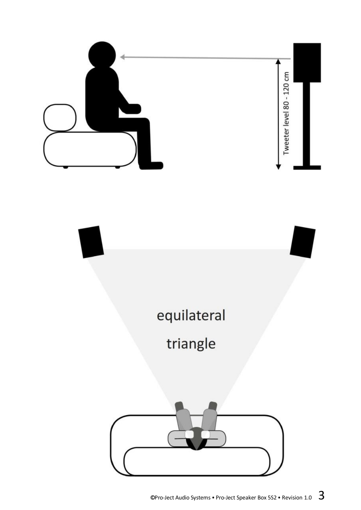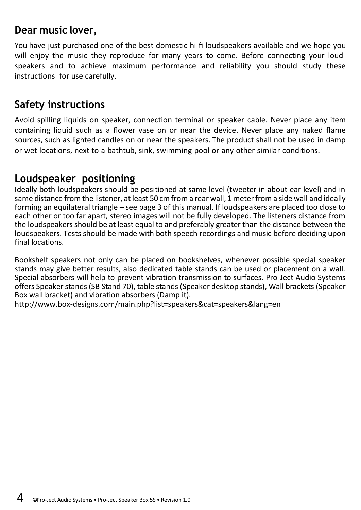#### **Dear music lover,**

You have just purchased one of the best domestic hi-fi loudspeakers available and we hope you will enjoy the music they reproduce for many years to come. Before connecting your loudspeakers and to achieve maximum performance and reliability you should study these instructions for use carefully.

# **Safety instructions**

Avoid spilling liquids on speaker, connection terminal or speaker cable. Never place any item containing liquid such as a flower vase on or near the device. Never place any naked flame sources, such as lighted candles on or near the speakers. The product shall not be used in damp or wet locations, next to a bathtub, sink, swimming pool or any other similar conditions.

# **Loudspeaker positioning**

Ideally both loudspeakers should be positioned at same level (tweeter in about ear level) and in same distance from the listener, at least 50 cm from a rear wall, 1 meter from a side wall and ideally forming an equilateral triangle – see page 3 of this manual. If loudspeakers are placed too close to each other or too far apart, stereo images will not be fully developed. The listeners distance from the loudspeakers should be at least equal to and preferably greater than the distance between the loudspeakers. Tests should be made with both speech recordings and music before deciding upon final locations.

Bookshelf speakers not only can be placed on bookshelves, whenever possible special speaker stands may give better results, also dedicated table stands can be used or placement on a wall. Special absorbers will help to prevent vibration transmission to surfaces. Pro-Ject Audio Systems offers Speaker stands (SB Stand 70), table stands (Speaker desktop stands), Wall brackets (Speaker Box wall bracket) and vibration absorbers (Damp it).

<http://www.box-designs.com/main.php?list=speakers&cat=speakers&lang=en>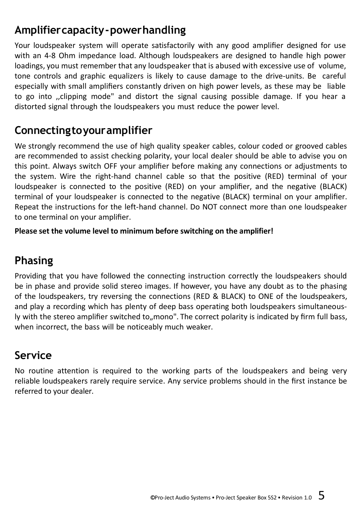# **Amplifiercapacity-powerhandling**

Your loudspeaker system will operate satisfactorily with any good amplifier designed for use with an 4-8 Ohm impedance load. Although loudspeakers are designed to handle high power loadings, you must remember that any loudspeaker that is abused with excessive use of volume, tone controls and graphic equalizers is likely to cause damage to the drive-units. Be careful especially with small amplifiers constantly driven on high power levels, as these may be liable to go into ,,clipping mode" and distort the signal causing possible damage. If you hear a distorted signal through the loudspeakers you must reduce the power level.

# **Connectingtoyouramplifier**

We strongly recommend the use of high quality speaker cables, colour coded or grooved cables are recommended to assist checking polarity, your local dealer should be able to advise you on this point. Always switch OFF your amplifier before making any connections or adjustments to the system. Wire the right-hand channel cable so that the positive (RED) terminal of your loudspeaker is connected to the positive (RED) on your amplifier, and the negative (BLACK) terminal of your loudspeaker is connected to the negative (BLACK) terminal on your amplifier. Repeat the instructions for the left-hand channel. Do NOT connect more than one loudspeaker to one terminal on your amplifier.

**Please set the volume level to minimum before switching on the amplifier!**

# **Phasing**

Providing that you have followed the connecting instruction correctly the loudspeakers should be in phase and provide solid stereo images. If however, you have any doubt as to the phasing of the loudspeakers, try reversing the connections (RED & BLACK) to ONE of the loudspeakers, and play a recording which has plenty of deep bass operating both loudspeakers simultaneously with the stereo amplifier switched to "mono". The correct polarity is indicated by firm full bass, when incorrect, the bass will be noticeably much weaker.

# **Service**

No routine attention is required to the working parts of the loudspeakers and being very reliable loudspeakers rarely require service. Any service problems should in the first instance be referred to your dealer.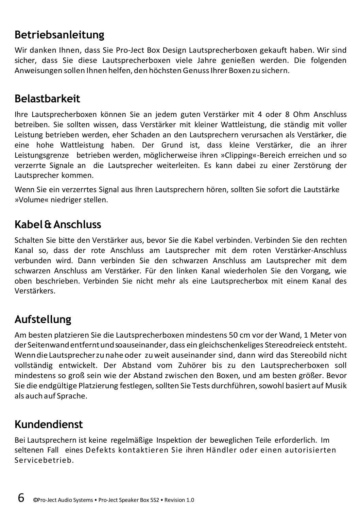# **Betriebsanleitung**

Wir danken Ihnen, dass Sie Pro-Ject Box Design Lautsprecherboxen gekauft haben. Wir sind sicher, dass Sie diese Lautsprecherboxen viele Jahre genießen werden. Die folgenden Anweisungen sollen Ihnen helfen, den höchstenGenussIhrer Boxenzu sichern.

#### **Belastbarkeit**

Ihre Lautsprecherboxen können Sie an jedem guten Verstärker mit 4 oder 8 Ohm Anschluss betreiben. Sie sollten wissen, dass Verstärker mit kleiner Wattleistung, die ständig mit voller Leistung betrieben werden, eher Schaden an den Lautsprechern verursachen als Verstärker, die eine hohe Wattleistung haben. Der Grund ist, dass kleine Verstärker, die an ihrer Leistungsgrenze betrieben werden, möglicherweise ihren »Clipping«-Bereich erreichen und so verzerrte Signale an die Lautsprecher weiterleiten. Es kann dabei zu einer Zerstörung der Lautsprecher kommen.

Wenn Sie ein verzerrtes Signal aus Ihren Lautsprechern hören, sollten Sie sofort die Lautstärke »Volume« niedriger stellen.

# **Kabel&Anschluss**

Schalten Sie bitte den Verstärker aus, bevor Sie die Kabel verbinden. Verbinden Sie den rechten Kanal so, dass der rote Anschluss am Lautsprecher mit dem roten Verstärker-Anschluss verbunden wird. Dann verbinden Sie den schwarzen Anschluss am Lautsprecher mit dem schwarzen Anschluss am Verstärker. Für den linken Kanal wiederholen Sie den Vorgang, wie oben beschrieben. Verbinden Sie nicht mehr als eine Lautsprecherbox mit einem Kanal des Verstärkers.

# **Aufstellung**

Am besten platzieren Sie die Lautsprecherboxen mindestens 50 cm vor der Wand, 1 Meter von der Seitenwandentferntundsoauseinander, dass ein gleichschenkeliges Stereodreieck entsteht. WenndieLautsprecherzunahe oder zuweit auseinander sind, dann wird das Stereobild nicht vollständig entwickelt. Der Abstand vom Zuhörer bis zu den Lautsprecherboxen soll mindestens so groß sein wie der Abstand zwischen den Boxen, und am besten größer. Bevor Sie die endgültige Platzierung festlegen,sollten Sie Tests durchführen,sowohl basiert auf Musik als auch auf Sprache.

# **Kundendienst**

Bei Lautsprechern ist keine regelmäßige Inspektion der beweglichen Teile erforderlich. Im seltenen Fall eines Defekts kontaktieren Sie ihren Händler oder einen autorisierten Servicebetrieb.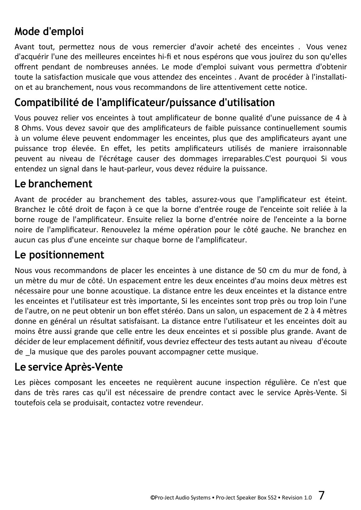# **Mode d'emploi**

Avant tout, permettez nous de vous remercier d'avoir acheté des enceintes . Vous venez d'acquérir l'une des meilleures enceintes hi-fi et nous espérons que vous jouïrez du son qu'elles offrent pendant de nombreuses années. Le mode d'emploi suivant vous permettra d'obtenir toute la satisfaction musicale que vous attendez des enceintes . Avant de procéder à l'installation et au branchement, nous vous recommandons de lire attentivement cette notice.

#### **Compatibilité de l'amplificateur/puissance d'utilisation**

Vous pouvez relier vos enceintes à tout amplificateur de bonne qualité d'une puissance de 4 à 8 Ohms. Vous devez savoir que des amplificateurs de faible puissance continuellement soumis à un volume éleve peuvent endommager les enceintes, plus que des amplificateurs ayant une puissance trop élevée. En effet, les petits amplificateurs utilisés de maniere irraisonnable peuvent au niveau de l'écrétage causer des dommages irreparables.C'est pourquoi Si vous entendez un signal dans le haut-parleur, vous devez réduire la puissance.

#### **Le branchement**

Avant de procéder au branchement des tables, assurez-vous que l'amplificateur est éteint. Branchez le côté droit de façon à ce que la borne d'entrée rouge de l'enceinte soit reliée à la borne rouge de l'amplificateur. Ensuite reliez la borne d'entrée noire de l'enceinte a la borne noire de l'amplificateur. Renouvelez la méme opération pour le côté gauche. Ne branchez en aucun cas plus d'une enceinte sur chaque borne de l'amplificateur.

#### **Le positionnement**

Nous vous recommandons de placer les enceintes à une distance de 50 cm du mur de fond, à un mètre du mur de côté. Un espacement entre les deux enceintes d'au moins deux mètres est nécessaire pour une bonne acoustique. La distance entre les deux enceintes et la distance entre les enceintes et l'utilisateur est très importante, Si les enceintes sont trop près ou trop loin l'une de l'autre, on ne peut obtenir un bon effet stéréo. Dans un salon, un espacement de 2 à 4 mètres donne en général un résultat satisfaisant. La distance entre l'utilisateur et les enceintes doit au moins être aussi grande que celle entre les deux enceintes et si possible plus grande. Avant de décider de leur emplacement définitif, vous devriez effecteur des tests autant au niveau d'écoute de la musique que des paroles pouvant accompagner cette musique.

#### **Le service Après-Vente**

Les pièces composant les enceetes ne requièrent aucune inspection régulière. Ce n'est que dans de très rares cas qu'il est nécessaire de prendre contact avec le service Après-Vente. Si toutefois cela se produisait, contactez votre revendeur.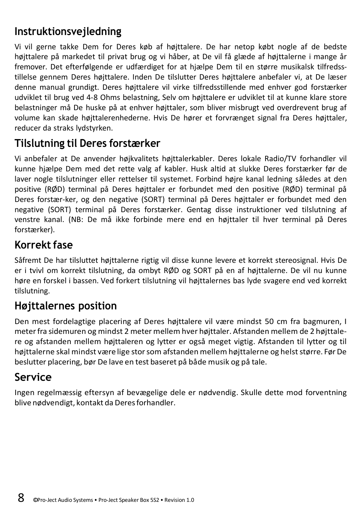# **Instruktionsvejledning**

Vi vil gerne takke Dem for Deres køb af højttalere. De har netop købt nogle af de bedste højttalere på markedet til privat brug og vi håber, at De vil få glæde af højttalerne i mange år fremover. Det efterfølgende er udfærdiget for at hjælpe Dem til en større musikalsk tilfredsstillelse gennem Deres højttalere. Inden De tilslutter Deres højttalere anbefaler vi, at De læser denne manual grundigt. Deres højttalere vil virke tilfredsstillende med enhver god forstærker udviklet til brug ved 4-8 Ohms belastning, Selv om højttalere er udviklet til at kunne klare store belastninger må De huske på at enhver højttaler, som bliver misbrugt ved overdrevent brug af volume kan skade højttalerenhederne. Hvis De hører et forvrænget signal fra Deres højttaler, reducer da straks lydstyrken.

# **Tilslutning til Deres forstærker**

Vi anbefaler at De anvender højkvalitets højttalerkabler. Deres lokale Radio/TV forhandler vil kunne hjælpe Dem med det rette valg af kabler. Husk altid at slukke Deres forstærker før de laver nogle tilslutninger eller rettelser til systemet. Forbind højre kanal ledning således at den positive (RØD) terminal på Deres højttaler er forbundet med den positive (RØD) terminal på Deres forstær-ker, og den negative (SORT) terminal på Deres højttaler er forbundet med den negative (SORT) terminal på Deres forstærker. Gentag disse instruktioner ved tilslutning af venstre kanal. (NB: De må ikke forbinde mere end en højttaler til hver terminal på Deres forstærker).

# **Korrekt fase**

Såfremt De har tilsluttet højttalerne rigtig vil disse kunne levere et korrekt stereosignal. Hvis De er i tvivl om korrekt tilslutning, da ombyt RØD og SORT på en af højttalerne. De vil nu kunne høre en forskel i bassen. Ved forkert tilslutning vil højttalernes bas lyde svagere end ved korrekt tilslutning.

# **Højttalernes position**

Den mest fordelagtige placering af Deres højttalere vil være mindst 50 cm fra bagmuren, I meterfra sidemuren og mindst 2 meter mellem hver højttaler. Afstanden mellem de 2 højttalere og afstanden mellem højttaleren og lytter er også meget vigtig. Afstanden til lytter og til højttalerne skal mindst være lige stor som afstanden mellem højttalerne og helst større. Før De beslutter placering, bør De lave en test baseret på både musik og på tale.

# **Service**

Ingen regelmæssig eftersyn af bevægelige dele er nødvendig. Skulle dette mod forventning blive nødvendigt, kontakt da Deresforhandler.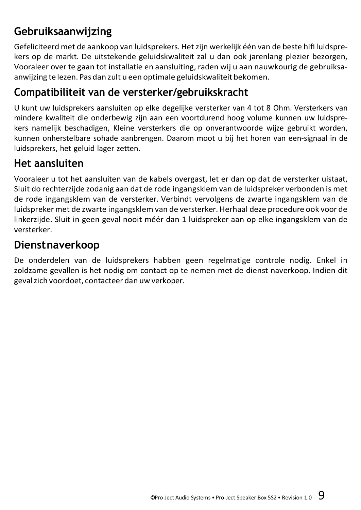# **Gebruiksaanwijzing**

Gefeliciteerd met de aankoop van luidsprekers. Hetzijn werkelijk één van de beste hifi luidsprekers op de markt. De uitstekende geluidskwaliteit zal u dan ook jarenlang plezier bezorgen, Vooraleer over te gaan tot installatie en aansluiting, raden wij u aan nauwkourig de gebruiksaanwijzing te lezen. Pas dan zult u een optimale geluidskwaliteit bekomen.

# **Compatibiliteit van de versterker/gebruikskracht**

U kunt uw luidsprekers aansluiten op elke degelijke versterker van 4 tot 8 Ohm. Versterkers van mindere kwaliteit die onderbewig zijn aan een voortdurend hoog volume kunnen uw luidsprekers namelijk beschadigen, Kleine versterkers die op onverantwoorde wijze gebruikt worden, kunnen onherstelbare sohade aanbrengen. Daarom moot u bij het horen van een-signaal in de luidsprekers, het geluid lager zetten.

# **Het aansluiten**

Vooraleer u tot het aansluiten van de kabels overgast, let er dan op dat de versterker uistaat, Sluit do rechterzijde zodanig aan dat de rode ingangsklem van de luidspreker verbonden is met de rode ingangsklem van de versterker. Verbindt vervolgens de zwarte ingangsklem van de luidspreker met de zwarte ingangsklem van de versterker. Herhaal deze procedure ook voor de linkerzijde. Sluit in geen geval nooit méér dan 1 luidspreker aan op elke ingangsklem van de versterker.

# **Dienstnaverkoop**

De onderdelen van de luidsprekers habben geen regelmatige controle nodig. Enkel in zoldzame gevallen is het nodig om contact op te nemen met de dienst naverkoop. Indien dit gevalzich voordoet, contacteer dan uw verkoper.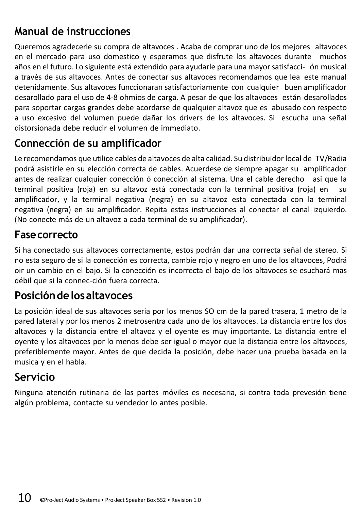# **Manual de instrucciones**

Queremos agradecerle su compra de altavoces . Acaba de comprar uno de los mejores altavoces en el mercado para uso domestico y esperamos que disfrute los altavoces durante muchos años en el futuro. Lo siguiente está extendido para ayudarle para una mayorsatisfacci- ón musical a través de sus altavoces. Antes de conectar sus altavoces recomendamos que lea este manual detenidamente. Sus altavoces funccionaran satisfactoriamente con cualquier buen amplificador desarollado para el uso de 4-8 ohmios de carga. A pesar de que los altavoces están desarollados para soportar cargas grandes debe acordarse de qualquier altavoz que es abusado con respecto a uso excesivo del volumen puede dañar los drivers de los altavoces. Si escucha una señal distorsionada debe reducir el volumen de immediato.

#### **Connección de su amplificador**

Le recomendamos que utilice cables de altavoces de alta calidad. Su distribuidor local de TV/Radia podrá asistirle en su elección correcta de cables. Acuerdese de siempre apagar su amplificador antes de realizar cualquier conección ó conección al sistema. Una el cable derecho asi que la terminal positiva (roja) en su altavoz está conectada con la terminal positiva (roja) en su amplificador, y la terminal negativa (negra) en su altavoz esta conectada con la terminal negativa (negra) en su amplificador. Repita estas instrucciones al conectar el canal izquierdo. (No conecte más de un altavoz a cada terminal de su amplificador).

#### **Fasecorrecto**

Si ha conectado sus altavoces correctamente, estos podrán dar una correcta señal de stereo. Si no esta seguro de si la conección es correcta, cambie rojo y negro en uno de los altavoces, Podrá oir un cambio en el bajo. Si la conección es incorrecta el bajo de los altavoces se esuchará mas débil que si la connec-ción fuera correcta.

#### **Posicióndelosaltavoces**

La posición ideal de sus altavoces seria por los menos SO cm de la pared trasera, 1 metro de la pared lateral y por los menos 2 metrosentra cada uno de los altavoces. La distancia entre los dos altavoces y la distancia entre el altavoz y el oyente es muy importante. La distancia entre el oyente y los altavoces por lo menos debe ser igual o mayor que la distancia entre los altavoces, preferiblemente mayor. Antes de que decida la posición, debe hacer una prueba basada en la musica y en el habla.

# **Servicio**

Ninguna atención rutinaria de las partes móviles es necesaria, si contra toda prevesión tiene algún problema, contacte su vendedor lo antes posible.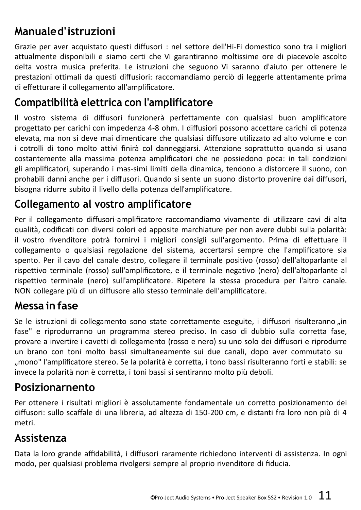# **Manualed'istruzioni**

Grazie per aver acquistato questi diffusori : nel settore dell'Hi-Fi domestico sono tra i migliori attualmente disponibili e siamo certi che Vi garantiranno moltissime ore di piacevole ascolto delta vostra musica preferita. Le istruzioni che seguono Vi saranno d'aiuto per ottenere le prestazioni ottimali da questi diffusiori: raccomandiamo perciò di leggerle attentamente prima di effetturare il collegamento all'amplificatore.

# **Compatibilità elettrica con l'amplificatore**

Il vostro sistema di diffusori funzionerà perfettamente con qualsiasi buon amplificatore progettato per carichi con impedenza 4-8 ohm. I diffusiori possono accettare carichi di potenza elevata, ma non si deve mai dimenticare che qualsiasi diffusore utilizzato ad alto volume e con i cotrolli di tono molto attivi finirà col danneggiarsi. Attenzione soprattutto quando si usano costantemente alla massima potenza amplificatori che ne possiedono poca: in tali condizioni gli amplificatori, superando i mas-simi limiti della dinamica, tendono a distorcere il suono, con prohabili danni anche per i diffusori. Quando si sente un suono distorto provenire dai diffusori, bisogna ridurre subito il livello della potenza dell'amplificatore.

# **Collegamento al vostro amplificatore**

Per il collegamento diffusori-amplificatore raccomandiamo vivamente di utilizzare cavi di alta qualità, codificati con diversi colori ed apposite marchiature per non avere dubbi sulla polarità: il vostro rivenditore potrà fornirvi i migliori consigli sull'argomento. Prima di effettuare il collegamento o qualsiasi regolazione del sistema, accertarsi sempre che l'amplificatore sia spento. Per il cavo del canale destro, collegare il terminale positivo (rosso) dell'altoparlante al rispettivo terminale (rosso) sull'amplificatore, e il terminale negativo (nero) dell'altoparlante al rispettivo terminale (nero) sull'amplificatore. Ripetere la stessa procedura per l'altro canale. NON collegare più di un diffusore allo stesso terminale dell'amplificatore.

#### **Messa in fase**

Se le istruzioni di collegamento sono state correttamente eseguite, i diffusori risulteranno in fase" e riprodurranno un programma stereo preciso. In caso di dubbio sulla corretta fase, provare a invertire i cavetti di collegamento (rosso e nero) su uno solo dei diffusori e riprodurre un brano con toni molto bassi simultaneamente sui due canali, dopo aver commutato su "mono" l'amplificatore stereo. Se la polarità è corretta, i tono bassi risulteranno forti e stabili: se invece la polarità non è corretta, i toni bassi si sentiranno molto più deboli.

#### **Posizionarnento**

Per ottenere i risultati migliori è assolutamente fondamentale un corretto posizionamento dei diffusori: sullo scaffale di una libreria, ad altezza di 150-200 cm, e distanti fra loro non più di 4 metri.

#### **Assistenza**

Data la loro grande affidabilità, i diffusori raramente richiedono interventi di assistenza. In ogni modo, per qualsiasi problema rivolgersi sempre al proprio rivenditore di fiducia.